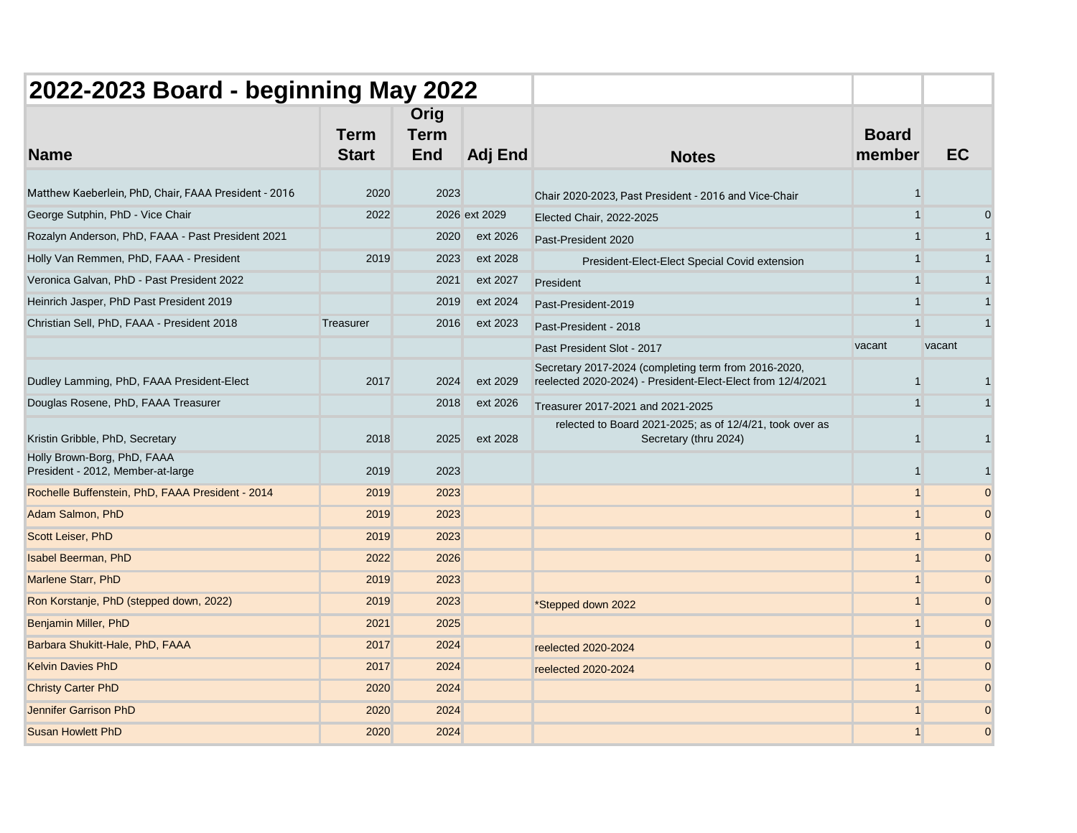| 2022-2023 Board - beginning May 2022                             |                             |                                   |               |                                                                                                                     |                        |           |          |
|------------------------------------------------------------------|-----------------------------|-----------------------------------|---------------|---------------------------------------------------------------------------------------------------------------------|------------------------|-----------|----------|
| <b>Name</b>                                                      | <b>Term</b><br><b>Start</b> | Orig<br><b>Term</b><br><b>End</b> | Adj End       | <b>Notes</b>                                                                                                        | <b>Board</b><br>member | <b>EC</b> |          |
| Matthew Kaeberlein, PhD, Chair, FAAA President - 2016            | 2020                        | 2023                              |               | Chair 2020-2023, Past President - 2016 and Vice-Chair                                                               |                        |           |          |
| George Sutphin, PhD - Vice Chair                                 | 2022                        |                                   | 2026 ext 2029 | Elected Chair, 2022-2025                                                                                            | $\overline{1}$         |           |          |
| Rozalyn Anderson, PhD, FAAA - Past President 2021                |                             | 2020                              | ext 2026      | Past-President 2020                                                                                                 |                        |           |          |
| Holly Van Remmen, PhD, FAAA - President                          | 2019                        | 2023                              | ext 2028      | President-Elect-Elect Special Covid extension                                                                       | 1                      |           |          |
| Veronica Galvan, PhD - Past President 2022                       |                             | 2021                              | ext 2027      | President                                                                                                           | 1                      |           |          |
| Heinrich Jasper, PhD Past President 2019                         |                             | 2019                              | ext 2024      | Past-President-2019                                                                                                 | 1                      |           |          |
| Christian Sell, PhD, FAAA - President 2018                       | Treasurer                   | 2016                              | ext 2023      | Past-President - 2018                                                                                               |                        |           |          |
|                                                                  |                             |                                   |               | Past President Slot - 2017                                                                                          | vacant                 | vacant    |          |
| Dudley Lamming, PhD, FAAA President-Elect                        | 2017                        | 2024                              | ext 2029      | Secretary 2017-2024 (completing term from 2016-2020,<br>reelected 2020-2024) - President-Elect-Elect from 12/4/2021 |                        |           |          |
| Douglas Rosene, PhD, FAAA Treasurer                              |                             | 2018                              | ext 2026      | Treasurer 2017-2021 and 2021-2025                                                                                   | $\mathbf{1}$           |           |          |
| Kristin Gribble, PhD, Secretary                                  | 2018                        | 2025                              | ext 2028      | relected to Board 2021-2025; as of 12/4/21, took over as<br>Secretary (thru 2024)                                   |                        |           |          |
| Holly Brown-Borg, PhD, FAAA<br>President - 2012, Member-at-large | 2019                        | 2023                              |               |                                                                                                                     |                        |           |          |
| Rochelle Buffenstein, PhD, FAAA President - 2014                 | 2019                        | 2023                              |               |                                                                                                                     | 1                      |           |          |
| Adam Salmon, PhD                                                 | 2019                        | 2023                              |               |                                                                                                                     |                        |           | $\Omega$ |
| Scott Leiser, PhD                                                | 2019                        | 2023                              |               |                                                                                                                     |                        |           | $\Omega$ |
| <b>Isabel Beerman, PhD</b>                                       | 2022                        | 2026                              |               |                                                                                                                     | $\overline{1}$         |           | $\Omega$ |
| Marlene Starr, PhD                                               | 2019                        | 2023                              |               |                                                                                                                     | 1                      |           | $\Omega$ |
| Ron Korstanje, PhD (stepped down, 2022)                          | 2019                        | 2023                              |               | *Stepped down 2022                                                                                                  | $\overline{1}$         |           | $\Omega$ |
| <b>Benjamin Miller, PhD</b>                                      | 2021                        | 2025                              |               |                                                                                                                     |                        |           | $\Omega$ |
| Barbara Shukitt-Hale, PhD, FAAA                                  | 2017                        | 2024                              |               | reelected 2020-2024                                                                                                 | 1                      |           | $\Omega$ |
| <b>Kelvin Davies PhD</b>                                         | 2017                        | 2024                              |               | reelected 2020-2024                                                                                                 | $\overline{ }$         |           | $\Omega$ |
| <b>Christy Carter PhD</b>                                        | 2020                        | 2024                              |               |                                                                                                                     | 1                      |           | $\Omega$ |
| <b>Jennifer Garrison PhD</b>                                     | 2020                        | 2024                              |               |                                                                                                                     | 1                      |           | $\Omega$ |
| <b>Susan Howlett PhD</b>                                         | 2020                        | 2024                              |               |                                                                                                                     |                        |           | $\Omega$ |